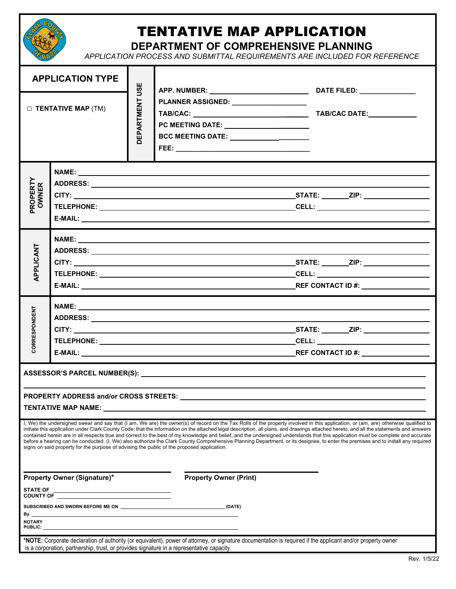

## TENTATIVE MAP APPLICATION

**DEPARTMENT OF COMPREHENSIVE PLANNING**

*APPLICATION PROCESS AND SUBMITTAL REQUIREMENTS ARE INCLUDED FOR REFERENCE*

| <b>APPLICATION TYPE</b>                                                                                                                                                                                                                                                                                                                                                                                                                                                                                                                                                                                                                                                                                                                                                                                                                             |  | USE               | DATE FILED: ________________                                                                                                                                                                                                                             |  |  |  |  |  |  |
|-----------------------------------------------------------------------------------------------------------------------------------------------------------------------------------------------------------------------------------------------------------------------------------------------------------------------------------------------------------------------------------------------------------------------------------------------------------------------------------------------------------------------------------------------------------------------------------------------------------------------------------------------------------------------------------------------------------------------------------------------------------------------------------------------------------------------------------------------------|--|-------------------|----------------------------------------------------------------------------------------------------------------------------------------------------------------------------------------------------------------------------------------------------------|--|--|--|--|--|--|
| $\Box$ TENTATIVE MAP (TM)                                                                                                                                                                                                                                                                                                                                                                                                                                                                                                                                                                                                                                                                                                                                                                                                                           |  | <b>JEPARTMENT</b> | PLANNER ASSIGNED: __________________<br>PC MEETING DATE: ______________________<br>BCC MEETING DATE: ______________________                                                                                                                              |  |  |  |  |  |  |
| <b>PROPERTY</b><br>OWNER                                                                                                                                                                                                                                                                                                                                                                                                                                                                                                                                                                                                                                                                                                                                                                                                                            |  |                   |                                                                                                                                                                                                                                                          |  |  |  |  |  |  |
| APPLICANT                                                                                                                                                                                                                                                                                                                                                                                                                                                                                                                                                                                                                                                                                                                                                                                                                                           |  |                   |                                                                                                                                                                                                                                                          |  |  |  |  |  |  |
| <b>CORRESPONDENT</b>                                                                                                                                                                                                                                                                                                                                                                                                                                                                                                                                                                                                                                                                                                                                                                                                                                |  |                   |                                                                                                                                                                                                                                                          |  |  |  |  |  |  |
| PROPERTY ADDRESS and/or CROSS STREETS:<br><b>TENTATIVE MAP NAME:</b> TENTATIVE                                                                                                                                                                                                                                                                                                                                                                                                                                                                                                                                                                                                                                                                                                                                                                      |  |                   |                                                                                                                                                                                                                                                          |  |  |  |  |  |  |
| I, We) the undersigned swear and say that (I am, We are) the owner(s) of record on the Tax Rolls of the property involved in this application, or (am, are) otherwise qualified to<br>initiate this application under Clark County Code; that the information on the attached legal description, all plans, and drawings attached hereto, and all the statements and answers<br>contained herein are in all respects true and correct to the best of my knowledge and belief, and the undersigned understands that this application must be complete and accurate<br>before a hearing can be conducted. (I, We) also authorize the Clark County Comprehensive Planning Department, or its designee, to enter the premises and to install any required<br>signs on said property for the purpose of advising the public of the proposed application. |  |                   |                                                                                                                                                                                                                                                          |  |  |  |  |  |  |
| Property Owner (Signature)*                                                                                                                                                                                                                                                                                                                                                                                                                                                                                                                                                                                                                                                                                                                                                                                                                         |  |                   | <b>Property Owner (Print)</b>                                                                                                                                                                                                                            |  |  |  |  |  |  |
|                                                                                                                                                                                                                                                                                                                                                                                                                                                                                                                                                                                                                                                                                                                                                                                                                                                     |  |                   |                                                                                                                                                                                                                                                          |  |  |  |  |  |  |
| By _                                                                                                                                                                                                                                                                                                                                                                                                                                                                                                                                                                                                                                                                                                                                                                                                                                                |  |                   |                                                                                                                                                                                                                                                          |  |  |  |  |  |  |
| <b>NOTARY</b><br>PUBLIC: _                                                                                                                                                                                                                                                                                                                                                                                                                                                                                                                                                                                                                                                                                                                                                                                                                          |  |                   |                                                                                                                                                                                                                                                          |  |  |  |  |  |  |
|                                                                                                                                                                                                                                                                                                                                                                                                                                                                                                                                                                                                                                                                                                                                                                                                                                                     |  |                   | *NOTE: Corporate declaration of authority (or equivalent), power of attorney, or signature documentation is required if the applicant and/or property owner<br>is a corporation, partnership, trust, or provides signature in a representative capacity. |  |  |  |  |  |  |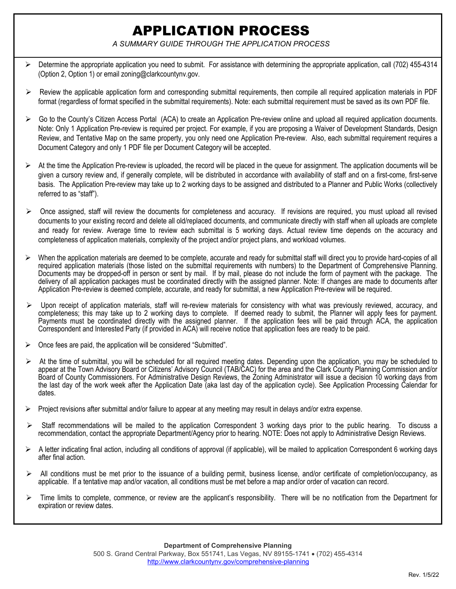## APPLICATION PROCESS

*A SUMMARY GUIDE THROUGH THE APPLICATION PROCESS* 

- Determine the appropriate application you need to submit. For assistance with determining the appropriate application, call (702) 455-4314 (Option 2, Option 1) or email zoning@clarkcountynv.gov.
- $\triangleright$  Review the applicable application form and corresponding submittal requirements, then compile all required application materials in PDF format (regardless of format specified in the submittal requirements). Note: each submittal requirement must be saved as its own PDF file.
- $\triangleright$  Go to the County's Citizen Access Portal (ACA) to create an Application Pre-review online and upload all required application documents. Note: Only 1 Application Pre-review is required per project. For example, if you are proposing a Waiver of Development Standards, Design Review, and Tentative Map on the same property, you only need one Application Pre-review. Also, each submittal requirement requires a Document Category and only 1 PDF file per Document Category will be accepted.
- $\triangleright$  At the time the Application Pre-review is uploaded, the record will be placed in the queue for assignment. The application documents will be given a cursory review and, if generally complete, will be distributed in accordance with availability of staff and on a first-come, first-serve basis. The Application Pre-review may take up to 2 working days to be assigned and distributed to a Planner and Public Works (collectively referred to as "staff").
- $\triangleright$  Once assigned, staff will review the documents for completeness and accuracy. If revisions are required, you must upload all revised documents to your existing record and delete all old/replaced documents, and communicate directly with staff when all uploads are complete and ready for review. Average time to review each submittal is 5 working days. Actual review time depends on the accuracy and completeness of application materials, complexity of the project and/or project plans, and workload volumes.
- When the application materials are deemed to be complete, accurate and ready for submittal staff will direct you to provide hard-copies of all required application materials (those listed on the submittal requirements with numbers) to the Department of Comprehensive Planning. Documents may be dropped-off in person or sent by mail. If by mail, please do not include the form of payment with the package. The delivery of all application packages must be coordinated directly with the assigned planner. Note: If changes are made to documents after Application Pre-review is deemed complete, accurate, and ready for submittal, a new Application Pre-review will be required.
- $\triangleright$  Upon receipt of application materials, staff will re-review materials for consistency with what was previously reviewed, accuracy, and completeness; this may take up to 2 working days to complete. If deemed ready to submit, the Planner will apply fees for payment. Payments must be coordinated directly with the assigned planner. If the application fees will be paid through ACA, the application Correspondent and Interested Party (if provided in ACA) will receive notice that application fees are ready to be paid.
- Once fees are paid, the application will be considered "Submitted".
- At the time of submittal, you will be scheduled for all required meeting dates. Depending upon the application, you may be scheduled to appear at the Town Advisory Board or Citizens' Advisory Council (TAB/CAC) for the area and the Clark County Planning Commission and/or Board of County Commissioners. For Administrative Design Reviews, the Zoning Administrator will issue a decision 10 working days from the last day of the work week after the Application Date (aka last day of the application cycle). See Application Processing Calendar for dates.
- Project revisions after submittal and/or failure to appear at any meeting may result in delays and/or extra expense.
- $\triangleright$  Staff recommendations will be mailed to the application Correspondent 3 working days prior to the public hearing. To discuss a recommendation, contact the appropriate Department/Agency prior to hearing. NOTE: Does not apply to Administrative Design Reviews.
- A letter indicating final action, including all conditions of approval (if applicable), will be mailed to application Correspondent 6 working days after final action.
- All conditions must be met prior to the issuance of a building permit, business license, and/or certificate of completion/occupancy, as applicable. If a tentative map and/or vacation, all conditions must be met before a map and/or order of vacation can record.
- $\triangleright$  Time limits to complete, commence, or review are the applicant's responsibility. There will be no notification from the Department for expiration or review dates.